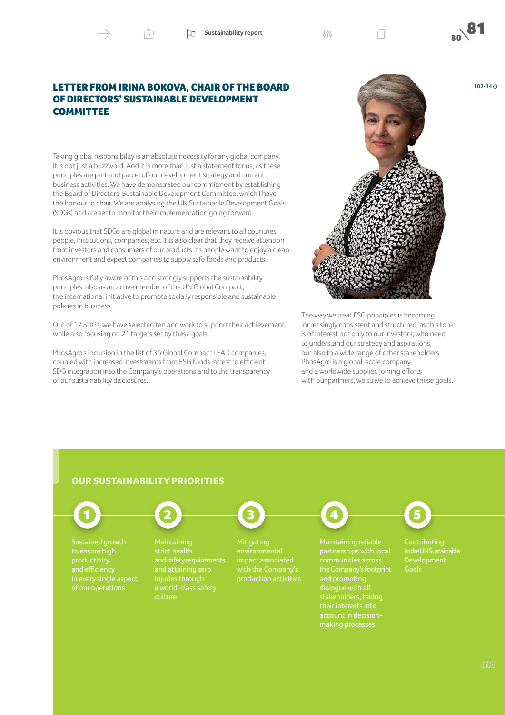**Sustainability report**  $\begin{matrix} \downarrow \ \downarrow \ \downarrow \end{matrix}$  **80** 

**102-14**

## LETTER FROM IRINA BOKOVA, CHAIR OF THE BOARD OF DIRECTORS' SUSTAINABLE DEVELOPMENT **COMMITTEE**

Ĥ

Taking global responsibility is an absolute necessity for any global company. It is not just a buzzword. And it is more than just a statement for us, as these principles are part and parcel of our development strategy and current business activities. We have demonstrated our commitment by establishing the Board of Directors' Sustainable Development Committee, which I have the honour to chair. We are analysing the UN Sustainable Development Goals (SDGs) and are set to monitor their implementation going forward.

It is obvious that SDGs are global in nature and are relevant to all countries, people, institutions, companies, etc. It is also clear that they receive attention from investors and consumers of our products, as people want to enjoy a clean environment and expect companies to supply safe foods and products.

PhosAgro is fully aware of this and strongly supports the sustainability principles, also as an active member of the UN Global Compact, the international initiative to promote socially responsible and sustainable policies in business.

Out of 17 SDGs, we have selected ten and work to support their achievement, while also focusing on 21 targets set by these goals.

PhosAgro's inclusion in the list of 36 Global Compact LEAD companies, coupled with increased investments from ESG funds, attest to efficient SDG integration into the Company's operations and to the transparency of our sustainability disclosures.



The way we treat ESG principles is becoming increasingly consistent and structured, as this topic is of interest not only to our investors, who need to understand our strategy and aspirations, but also to a wide range of other stakeholders. PhosAgro is a global-scale company and a worldwide supplier. Joining efforts with our partners, we strive to achieve these goals.

## OUR SUSTAINABILITY PRIORITIES



Sustained growth productivity in every single aspect



**Maintaining** strict health and safety requirements, culture



Mitigating impact associated

1 **1** 2  $(2)$   $(3)$   $(4)$   $(5)$ 

partnerships with local communities across making processes



to the UN Sustainable Development **Goals**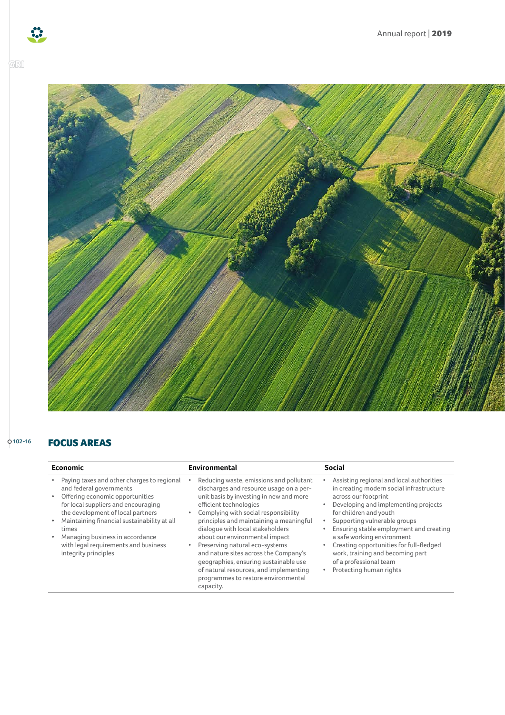



## FOCUS AREAS **102-16**

| <b>Economic</b>                                                                                                                                                                                                                                                                                                                                 | Environmental                                                                                                                                                                                                                                                                                                                                                                                                                                                                                                                      | <b>Social</b>                                                                                                                                                                                                                                                                                                                                                                                                                                                           |
|-------------------------------------------------------------------------------------------------------------------------------------------------------------------------------------------------------------------------------------------------------------------------------------------------------------------------------------------------|------------------------------------------------------------------------------------------------------------------------------------------------------------------------------------------------------------------------------------------------------------------------------------------------------------------------------------------------------------------------------------------------------------------------------------------------------------------------------------------------------------------------------------|-------------------------------------------------------------------------------------------------------------------------------------------------------------------------------------------------------------------------------------------------------------------------------------------------------------------------------------------------------------------------------------------------------------------------------------------------------------------------|
| Paying taxes and other charges to regional<br>and federal governments<br>Offering economic opportunities<br>for local suppliers and encouraging<br>the development of local partners<br>Maintaining financial sustainability at all<br>times<br>Managing business in accordance<br>with legal requirements and business<br>integrity principles | Reducing waste, emissions and pollutant<br>discharges and resource usage on a per-<br>unit basis by investing in new and more<br>efficient technologies<br>Complying with social responsibility<br>principles and maintaining a meaningful<br>dialogue with local stakeholders<br>about our environmental impact<br>Preserving natural eco-systems<br>and nature sites across the Company's<br>geographies, ensuring sustainable use<br>of natural resources, and implementing<br>programmes to restore environmental<br>capacity. | Assisting regional and local authorities<br>in creating modern social infrastructure<br>across our footprint<br>Developing and implementing projects<br>$\bullet$<br>for children and youth<br>Supporting vulnerable groups<br>٠<br>Ensuring stable employment and creating<br>a safe working environment<br>Creating opportunities for full-fledged<br>$\bullet$<br>work, training and becoming part<br>of a professional team<br>Protecting human rights<br>$\bullet$ |